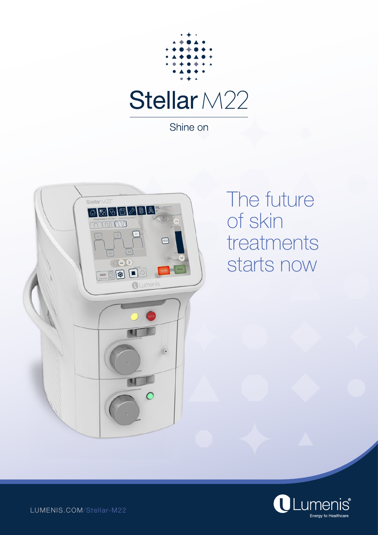

Shine on



The future of skin treatments starts now



LUMENIS.COM/Stellar-M22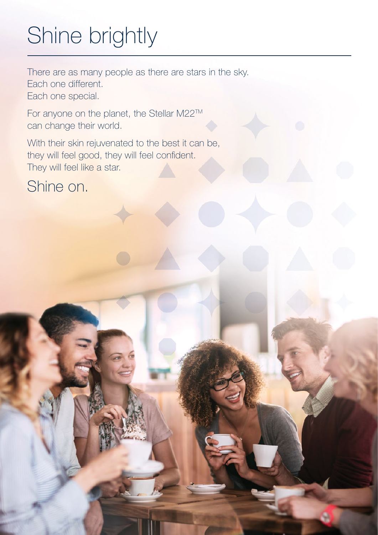# Shine brightly

There are as many people as there are stars in the sky. Each one different. Each one special.

For anyone on the planet, the Stellar M22TM can change their world.

With their skin rejuvenated to the best it can be, they will feel good, they will feel confident. They will feel like a star.

Shine on.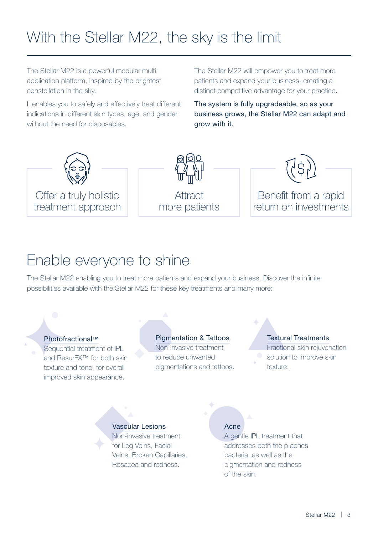# With the Stellar M22, the sky is the limit

The Stellar M22 is a powerful modular multiapplication platform, inspired by the brightest constellation in the sky.

It enables you to safely and effectively treat different indications in different skin types, age, and gender, without the need for disposables.

The Stellar M22 will empower you to treat more patients and expand your business, creating a distinct competitive advantage for your practice.

The system is fully upgradeable, so as your business grows, the Stellar M22 can adapt and grow with it.



# Enable everyone to shine

The Stellar M22 enabling you to treat more patients and expand your business. Discover the infinite possibilities available with the Stellar M22 for these key treatments and many more:

## Photofractional™

Sequential treatment of IPL and ResurFX™ for both skin texture and tone, for overall improved skin appearance.

# Pigmentation & Tattoos

Non-invasive treatment to reduce unwanted pigmentations and tattoos.

# Textural Treatments

Fractional skin rejuvenation solution to improve skin texture.

# Vascular Lesions

Non-invasive treatment for Leg Veins, Facial Veins, Broken Capillaries, Rosacea and redness.

# Acne

A gentle IPL treatment that addresses both the p.acnes bacteria, as well as the pigmentation and redness of the skin.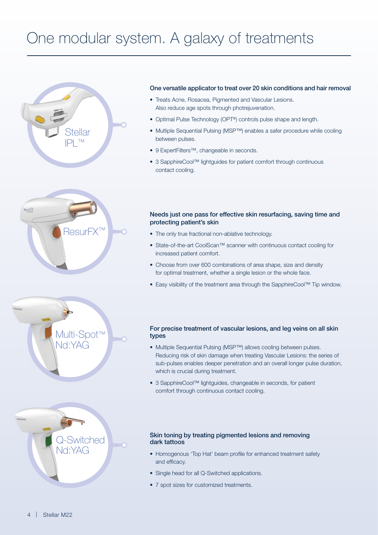# One modular system. A galaxy of treatments









### One versatile applicator to treat over 20 skin conditions and hair removal

- Treats Acne, Rosacea, Pigmented and Vascular Lesions. Also reduce age spots through photrejuvenation.
- Optimal Pulse Technology (OPT®) controls pulse shape and length.
- Multiple Sequential Pulsing (MSP™) enables a safer procedure while cooling between pulses.
- 9 ExpertFilters™, changeable in seconds.
- 3 SapphireCool™ lightguides for patient comfort through continuous contact cooling.

### Needs just one pass for effective skin resurfacing, saving time and protecting patient's skin

- The only true fractional non-ablative technology.
- State-of-the-art CoolScan™ scanner with continuous contact cooling for increased patient comfort.
- Choose from over 600 combinations of area shape, size and density for optimal treatment, whether a single lesion or the whole face.
- Easy visibility of the treatment area through the SapphireCool™ Tip window.

### For precise treatment of vascular lesions, and leg veins on all skin types

- Multiple Sequential Pulsing (MSP™) allows cooling between pulses. Reducing risk of skin damage when treating Vascular Lesions: the series of sub-pulses enables deeper penetration and an overall longer pulse duration, which is crucial during treatment.
- 3 SapphireCool™ lightguides, changeable in seconds, for patient comfort through continuous contact cooling.

#### Skin toning by treating pigmented lesions and removing dark tattoos

- Homogenous 'Top Hat' beam profile for enhanced treatment safety and efficacy.
- Single head for all Q-Switched applications.
- 7 spot sizes for customized treatments.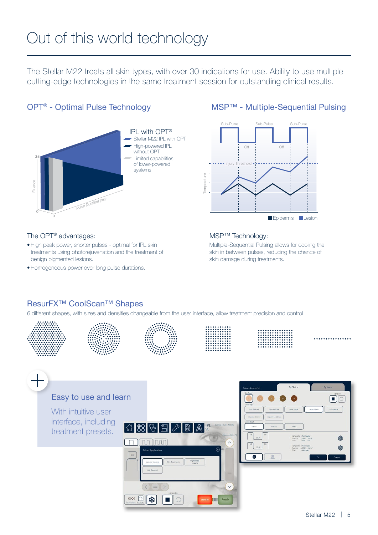# Out of this world technology

The Stellar M22 treats all skin types, with over 30 indications for use. Ability to use multiple cutting-edge technologies in the same treatment session for outstanding clinical results.

# OPT® - Optimal Pulse Technology



# The OPT® advantages:

- •High peak power, shorter pulses optimal for IPL skin treatments using photorejuvenation and the treatment of benign pigmented lesions.
- •Homogeneous power over long pulse durations.

# MSP™ - Multiple-Sequential Pulsing



# MSP™ Technology:

Multiple-Sequential Pulsing allows for cooling the skin in between pulses, reducing the chance of skin damage during treatments.

# ResurFX™ CoolScan™ Shapes

6 different shapes, with sizes and densities changeable from the user interface, allow treatment precision and control













. . . . . . . . . . . . . .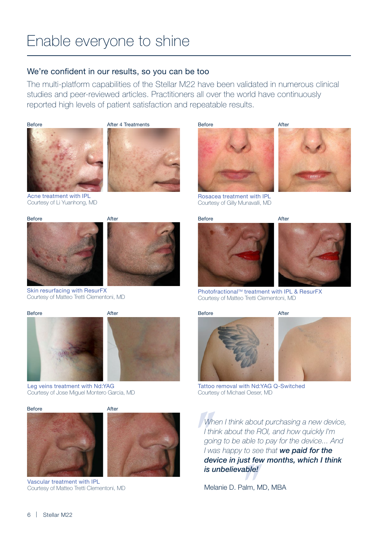# Enable everyone to shine

# We're confident in our results, so you can be too

The multi-platform capabilities of the Stellar M22 have been validated in numerous clinical studies and peer-reviewed articles. Practitioners all over the world have continuously reported high levels of patient satisfaction and repeatable results.





Acne treatment with IPL Courtesy of Li Yuanhong, MD







Skin resurfacing with ResurFX Courtesy of Matteo Tretti Clementoni, MD

Before After





Leg veins treatment with Nd:YAG Courtesy of Jose Miguel Montero Garcia, MD

Before **After** 



Vascular treatment with IPL Courtesy of Matteo Tretti Clementoni, MD

Before After







Rosacea treatment with IPL Courtesy of Gilly Munavalli, MD



Before After



Photofractional™ treatment with IPL & ResurFX Courtesy of Matteo Tretti Clementoni, MD

#### Before After





Tattoo removal with Nd:YAG Q-Switched Courtesy of Michael Oeser, MD

*When I think about purchasing a new device, I think about the ROI, and how quickly I'm going to be able to pay for the device... And I was happy to see that we paid for the device in just few months, which I think is unbelievable!*

Melanie D. Palm, MD, MBA

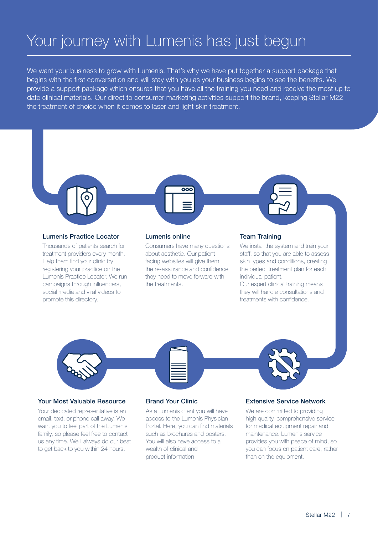# Your journey with Lumenis has just begun

We want your business to grow with Lumenis. That's why we have put together a support package that begins with the first conversation and will stay with you as your business begins to see the benefits. We provide a support package which ensures that you have all the training you need and receive the most up to date clinical materials. Our direct to consumer marketing activities support the brand, keeping Stellar M22 the treatment of choice when it comes to laser and light skin treatment.

### Lumenis Practice Locator

Thousands of patients search for treatment providers every month. Help them find your clinic by registering your practice on the Lumenis Practice Locator. We run campaigns through influencers, social media and viral videos to promote this directory.

#### Lumenis online

Consumers have many questions about aesthetic. Our patientfacing websites will give them the re-assurance and confidence they need to move forward with the treatments.

 $\overline{000}$ 

### Team Training

We install the system and train your staff, so that you are able to assess skin types and conditions, creating the perfect treatment plan for each individual patient.

Our expert clinical training means they will handle consultations and treatments with confidence.



### Your Most Valuable Resource

Your dedicated representative is an email, text, or phone call away. We want you to feel part of the Lumenis family, so please feel free to contact us any time. We'll always do our best to get back to you within 24 hours.

#### Brand Your Clinic

As a Lumenis client you will have access to the Lumenis Physician Portal. Here, you can find materials such as brochures and posters. You will also have access to a wealth of clinical and product information.

#### Extensive Service Network

We are committed to providing high quality, comprehensive service for medical equipment repair and maintenance. Lumenis service provides you with peace of mind, so you can focus on patient care, rather than on the equipment.